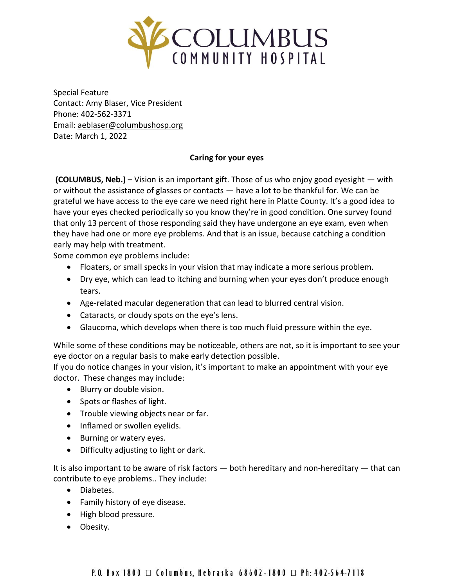

Special Feature Contact: Amy Blaser, Vice President Phone: 402-562-3371 Email: [aeblaser@columbushosp.org](mailto:aeblaser@columbushosp.org) Date: March 1, 2022

## **Caring for your eyes**

**(COLUMBUS, Neb.) –** Vision is an important gift. Those of us who enjoy good eyesight — with or without the assistance of glasses or contacts — have a lot to be thankful for. We can be grateful we have access to the eye care we need right here in Platte County. It's a good idea to have your eyes checked periodically so you know they're in good condition. One survey found that only 13 percent of those responding said they have undergone an eye exam, even when they have had one or more eye problems. And that is an issue, because catching a condition early may help with treatment.

Some common eye problems include:

- Floaters, or small specks in your vision that may indicate a more serious problem.
- Dry eye, which can lead to itching and burning when your eyes don't produce enough tears.
- Age-related macular degeneration that can lead to blurred central vision.
- Cataracts, or cloudy spots on the eye's lens.
- Glaucoma, which develops when there is too much fluid pressure within the eye.

While some of these conditions may be noticeable, others are not, so it is important to see your eye doctor on a regular basis to make early detection possible.

If you do notice changes in your vision, it's important to make an appointment with your eye doctor. These changes may include:

- Blurry or double vision.
- Spots or flashes of light.
- Trouble viewing objects near or far.
- Inflamed or swollen eyelids.
- Burning or watery eyes.
- Difficulty adjusting to light or dark.

It is also important to be aware of risk factors — both hereditary and non-hereditary — that can contribute to eye problems.. They include:

- Diabetes.
- Family history of eye disease.
- High blood pressure.
- Obesity.